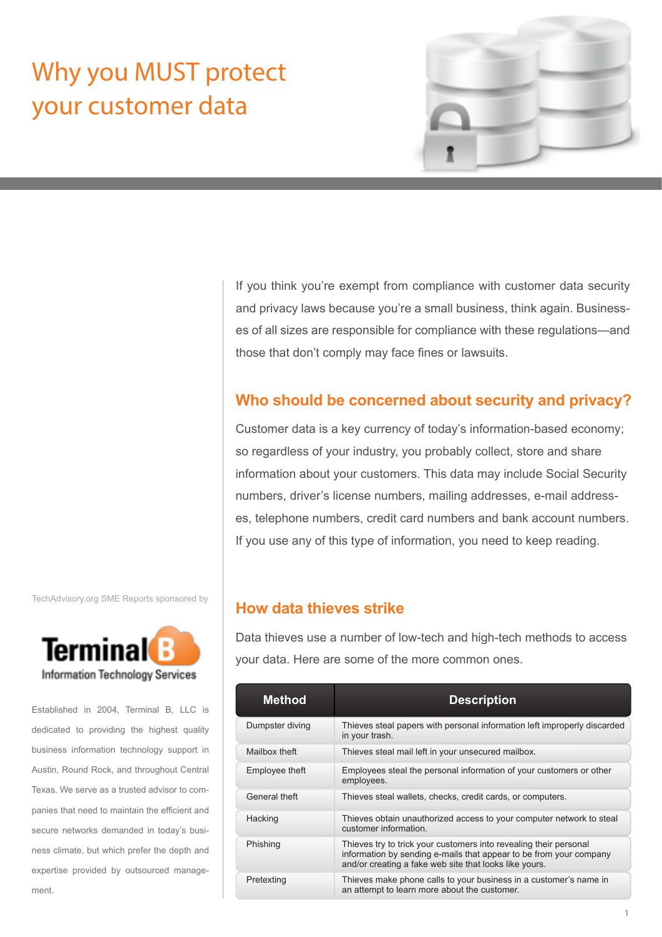# Why you MUST protect your customer data



If you think you're exempt from compliance with customer data security and privacy laws because you're a small business, think again. Businesses of all sizes are responsible for compliance with these regulations—and those that don't comply may face fines or lawsuits.

# **Who should be concerned about security and privacy?**

Customer data is a key currency of today's information-based economy; so regardless of your industry, you probably collect, store and share information about your customers. This data may include Social Security numbers, driver's license numbers, mailing addresses, e-mail addresses, telephone numbers, credit card numbers and bank account numbers. If you use any of this type of information, you need to keep reading.

#### TechAdvisory.org SME Reports sponsored by



Established in 2004, Terminal B, LLC is dedicated to providing the highest quality business information technology support in Austin, Round Rock, and throughout Central Texas. We serve as a trusted advisor to companies that need to maintain the efficient and secure networks demanded in today's business climate, but which prefer the depth and expertise provided by outsourced management.

# **How data thieves strike**

Data thieves use a number of low-tech and high-tech methods to access your data. Here are some of the more common ones.

| <b>Method</b>   | <b>Description</b>                                                                                                                                                                                |
|-----------------|---------------------------------------------------------------------------------------------------------------------------------------------------------------------------------------------------|
| Dumpster diving | Thieves steal papers with personal information left improperly discarded<br>in your trash.                                                                                                        |
| Mailbox theft   | Thieves steal mail left in your unsecured mailbox.                                                                                                                                                |
| Employee theft  | Employees steal the personal information of your customers or other<br>employees.                                                                                                                 |
| General theft   | Thieves steal wallets, checks, credit cards, or computers.                                                                                                                                        |
| Hacking         | Thieves obtain unauthorized access to your computer network to steal<br>customer information.                                                                                                     |
| Phishing        | Thieves try to trick your customers into revealing their personal<br>information by sending e-mails that appear to be from your company<br>and/or creating a fake web site that looks like yours. |
| Pretexting      | Thieves make phone calls to your business in a customer's name in<br>an attempt to learn more about the customer.                                                                                 |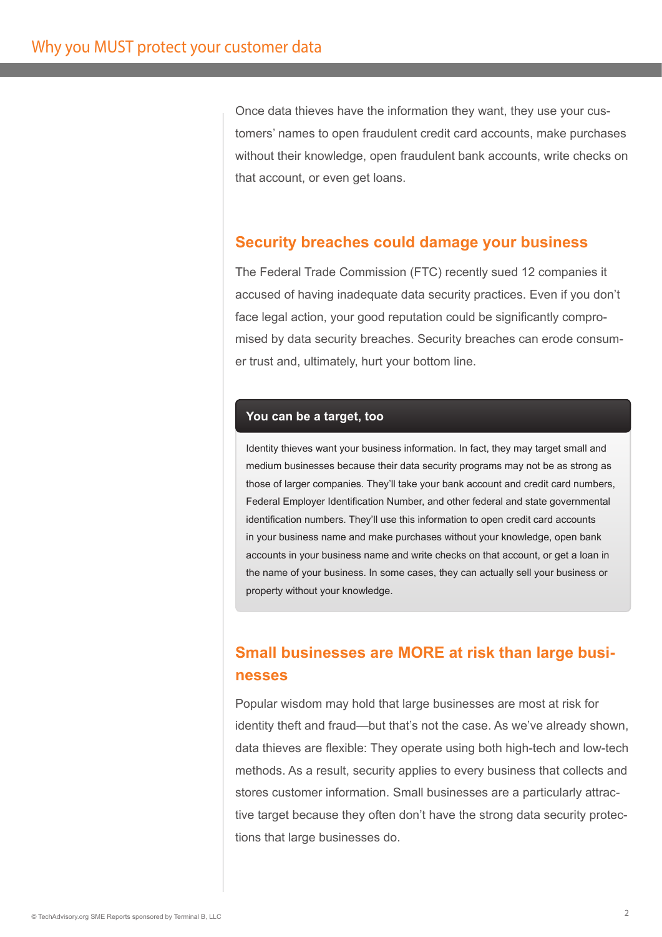Once data thieves have the information they want, they use your customers' names to open fraudulent credit card accounts, make purchases without their knowledge, open fraudulent bank accounts, write checks on that account, or even get loans.

# **Security breaches could damage your business**

The Federal Trade Commission (FTC) recently sued 12 companies it accused of having inadequate data security practices. Even if you don't face legal action, your good reputation could be significantly compromised by data security breaches. Security breaches can erode consumer trust and, ultimately, hurt your bottom line.

## **You can be a target, too**

Identity thieves want your business information. In fact, they may target small and medium businesses because their data security programs may not be as strong as those of larger companies. They'll take your bank account and credit card numbers, Federal Employer Identification Number, and other federal and state governmental identification numbers. They'll use this information to open credit card accounts in your business name and make purchases without your knowledge, open bank accounts in your business name and write checks on that account, or get a loan in the name of your business. In some cases, they can actually sell your business or property without your knowledge.

# **Small businesses are MORE at risk than large businesses**

Popular wisdom may hold that large businesses are most at risk for identity theft and fraud—but that's not the case. As we've already shown, data thieves are flexible: They operate using both high-tech and low-tech methods. As a result, security applies to every business that collects and stores customer information. Small businesses are a particularly attractive target because they often don't have the strong data security protections that large businesses do.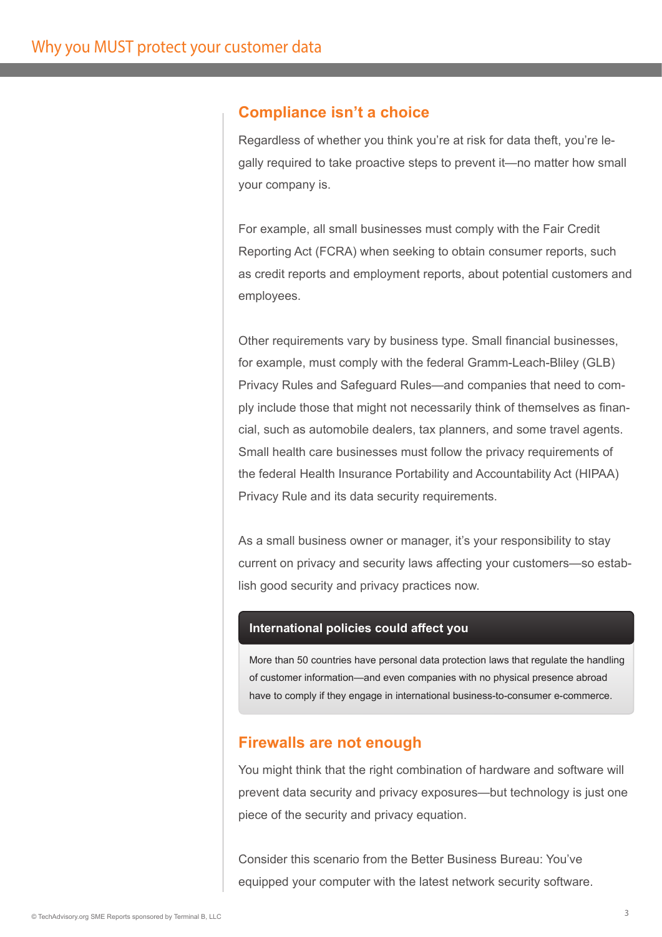## **Compliance isn't a choice**

Regardless of whether you think you're at risk for data theft, you're legally required to take proactive steps to prevent it—no matter how small your company is.

For example, all small businesses must comply with the Fair Credit Reporting Act (FCRA) when seeking to obtain consumer reports, such as credit reports and employment reports, about potential customers and employees.

Other requirements vary by business type. Small financial businesses, for example, must comply with the federal Gramm-Leach-Bliley (GLB) Privacy Rules and Safeguard Rules—and companies that need to comply include those that might not necessarily think of themselves as financial, such as automobile dealers, tax planners, and some travel agents. Small health care businesses must follow the privacy requirements of the federal Health Insurance Portability and Accountability Act (HIPAA) Privacy Rule and its data security requirements.

As a small business owner or manager, it's your responsibility to stay current on privacy and security laws affecting your customers—so establish good security and privacy practices now.

#### **International policies could affect you**

More than 50 countries have personal data protection laws that regulate the handling of customer information—and even companies with no physical presence abroad have to comply if they engage in international business-to-consumer e-commerce.

## **Firewalls are not enough**

You might think that the right combination of hardware and software will prevent data security and privacy exposures—but technology is just one piece of the security and privacy equation.

Consider this scenario from the Better Business Bureau: You've equipped your computer with the latest network security software.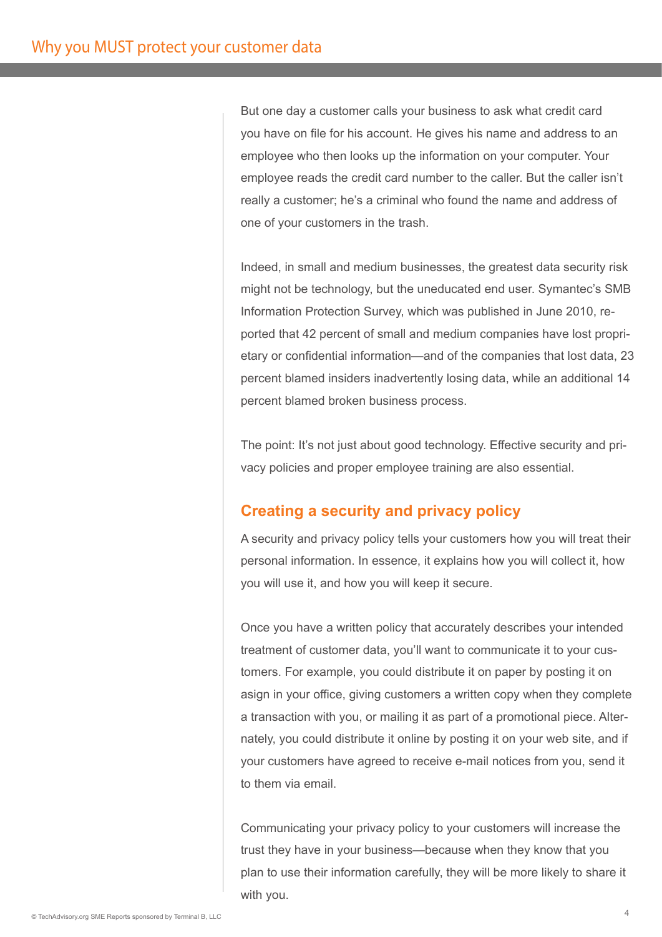But one day a customer calls your business to ask what credit card you have on file for his account. He gives his name and address to an employee who then looks up the information on your computer. Your employee reads the credit card number to the caller. But the caller isn't really a customer; he's a criminal who found the name and address of one of your customers in the trash.

Indeed, in small and medium businesses, the greatest data security risk might not be technology, but the uneducated end user. Symantec's SMB Information Protection Survey, which was published in June 2010, reported that 42 percent of small and medium companies have lost proprietary or confidential information—and of the companies that lost data, 23 percent blamed insiders inadvertently losing data, while an additional 14 percent blamed broken business process.

The point: It's not just about good technology. Effective security and privacy policies and proper employee training are also essential.

# **Creating a security and privacy policy**

A security and privacy policy tells your customers how you will treat their personal information. In essence, it explains how you will collect it, how you will use it, and how you will keep it secure.

Once you have a written policy that accurately describes your intended treatment of customer data, you'll want to communicate it to your customers. For example, you could distribute it on paper by posting it on asign in your office, giving customers a written copy when they complete a transaction with you, or mailing it as part of a promotional piece. Alternately, you could distribute it online by posting it on your web site, and if your customers have agreed to receive e-mail notices from you, send it to them via email.

Communicating your privacy policy to your customers will increase the trust they have in your business—because when they know that you plan to use their information carefully, they will be more likely to share it with you.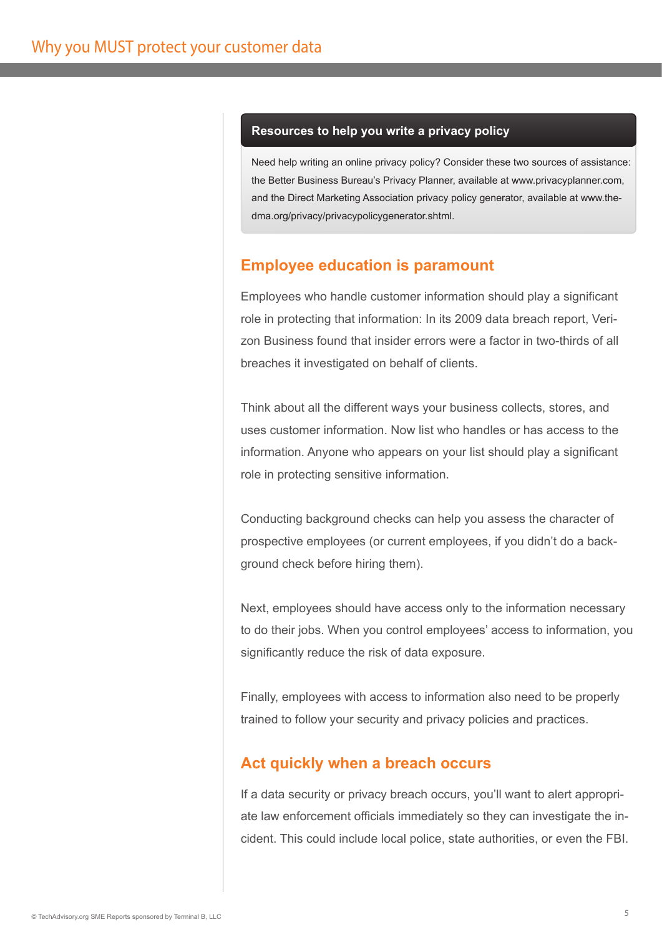#### **Resources to help you write a privacy policy**

Need help writing an online privacy policy? Consider these two sources of assistance: the Better Business Bureau's Privacy Planner, available at www.privacyplanner.com, and the Direct Marketing Association privacy policy generator, available at www.thedma.org/privacy/privacypolicygenerator.shtml.

# **Employee education is paramount**

Employees who handle customer information should play a significant role in protecting that information: In its 2009 data breach report, Verizon Business found that insider errors were a factor in two-thirds of all breaches it investigated on behalf of clients.

Think about all the different ways your business collects, stores, and uses customer information. Now list who handles or has access to the information. Anyone who appears on your list should play a significant role in protecting sensitive information.

Conducting background checks can help you assess the character of prospective employees (or current employees, if you didn't do a background check before hiring them).

Next, employees should have access only to the information necessary to do their jobs. When you control employees' access to information, you significantly reduce the risk of data exposure.

Finally, employees with access to information also need to be properly trained to follow your security and privacy policies and practices.

## **Act quickly when a breach occurs**

If a data security or privacy breach occurs, you'll want to alert appropriate law enforcement officials immediately so they can investigate the incident. This could include local police, state authorities, or even the FBI.